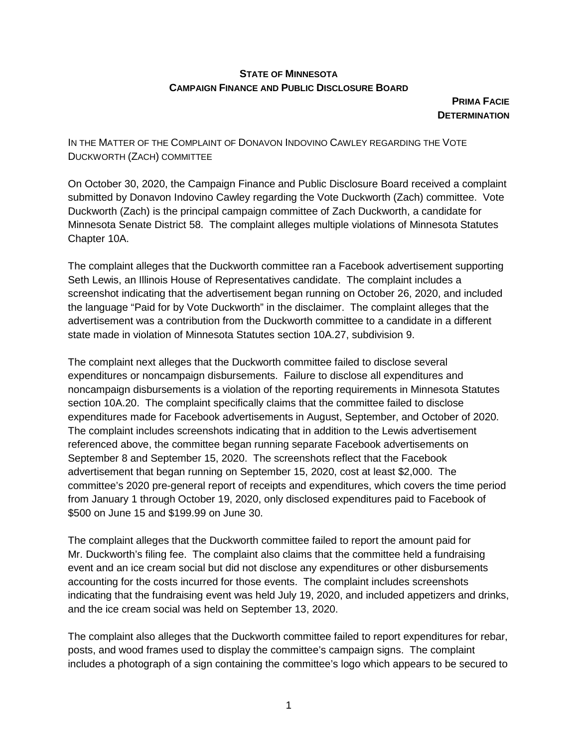# **STATE OF MINNESOTA CAMPAIGN FINANCE AND PUBLIC DISCLOSURE BOARD**

**PRIMA FACIE DETERMINATION** 

IN THE MATTER OF THE COMPLAINT OF DONAVON INDOVINO CAWLEY REGARDING THE VOTE DUCKWORTH (ZACH) COMMITTEE

On October 30, 2020, the Campaign Finance and Public Disclosure Board received a complaint submitted by Donavon Indovino Cawley regarding the Vote Duckworth (Zach) committee. Vote Duckworth (Zach) is the principal campaign committee of Zach Duckworth, a candidate for Minnesota Senate District 58. The complaint alleges multiple violations of Minnesota Statutes Chapter 10A.

The complaint alleges that the Duckworth committee ran a Facebook advertisement supporting Seth Lewis, an Illinois House of Representatives candidate. The complaint includes a screenshot indicating that the advertisement began running on October 26, 2020, and included the language "Paid for by Vote Duckworth" in the disclaimer. The complaint alleges that the advertisement was a contribution from the Duckworth committee to a candidate in a different state made in violation of Minnesota Statutes section 10A.27, subdivision 9.

The complaint next alleges that the Duckworth committee failed to disclose several expenditures or noncampaign disbursements. Failure to disclose all expenditures and noncampaign disbursements is a violation of the reporting requirements in Minnesota Statutes section 10A.20. The complaint specifically claims that the committee failed to disclose expenditures made for Facebook advertisements in August, September, and October of 2020. The complaint includes screenshots indicating that in addition to the Lewis advertisement referenced above, the committee began running separate Facebook advertisements on September 8 and September 15, 2020. The screenshots reflect that the Facebook advertisement that began running on September 15, 2020, cost at least \$2,000. The committee's 2020 pre-general report of receipts and expenditures, which covers the time period from January 1 through October 19, 2020, only disclosed expenditures paid to Facebook of \$500 on June 15 and \$199.99 on June 30.

The complaint alleges that the Duckworth committee failed to report the amount paid for Mr. Duckworth's filing fee. The complaint also claims that the committee held a fundraising event and an ice cream social but did not disclose any expenditures or other disbursements accounting for the costs incurred for those events. The complaint includes screenshots indicating that the fundraising event was held July 19, 2020, and included appetizers and drinks, and the ice cream social was held on September 13, 2020.

The complaint also alleges that the Duckworth committee failed to report expenditures for rebar, posts, and wood frames used to display the committee's campaign signs. The complaint includes a photograph of a sign containing the committee's logo which appears to be secured to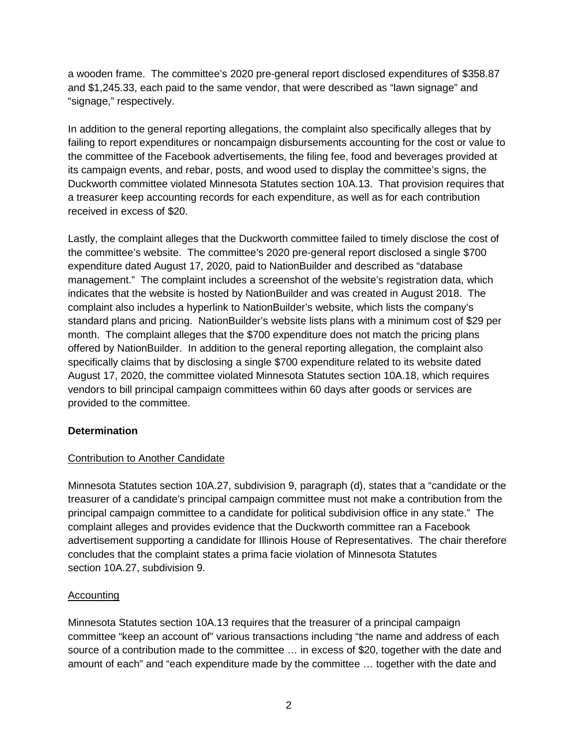a wooden frame. The committee's 2020 pre-general report disclosed expenditures of \$358.87 and \$1,245.33, each paid to the same vendor, that were described as "lawn signage" and "signage," respectively.

In addition to the general reporting allegations, the complaint also specifically alleges that by failing to report expenditures or noncampaign disbursements accounting for the cost or value to the committee of the Facebook advertisements, the filing fee, food and beverages provided at its campaign events, and rebar, posts, and wood used to display the committee's signs, the Duckworth committee violated Minnesota Statutes section 10A.13. That provision requires that a treasurer keep accounting records for each expenditure, as well as for each contribution received in excess of \$20.

Lastly, the complaint alleges that the Duckworth committee failed to timely disclose the cost of the committee's website. The committee's 2020 pre-general report disclosed a single \$700 expenditure dated August 17, 2020, paid to NationBuilder and described as "database management." The complaint includes a screenshot of the website's registration data, which indicates that the website is hosted by NationBuilder and was created in August 2018. The complaint also includes a hyperlink to NationBuilder's website, which lists the company's standard plans and pricing. NationBuilder's website lists plans with a minimum cost of \$29 per month. The complaint alleges that the \$700 expenditure does not match the pricing plans offered by NationBuilder. In addition to the general reporting allegation, the complaint also specifically claims that by disclosing a single \$700 expenditure related to its website dated August 17, 2020, the committee violated Minnesota Statutes section 10A.18, which requires vendors to bill principal campaign committees within 60 days after goods or services are provided to the committee.

### **Determination**

### Contribution to Another Candidate

Minnesota Statutes section 10A.27, subdivision 9, paragraph (d), states that a "candidate or the treasurer of a candidate's principal campaign committee must not make a contribution from the principal campaign committee to a candidate for political subdivision office in any state." The complaint alleges and provides evidence that the Duckworth committee ran a Facebook advertisement supporting a candidate for Illinois House of Representatives. The chair therefore concludes that the complaint states a prima facie violation of Minnesota Statutes section 10A.27, subdivision 9.

### **Accounting**

Minnesota Statutes section 10A.13 requires that the treasurer of a principal campaign committee "keep an account of" various transactions including "the name and address of each source of a contribution made to the committee … in excess of \$20, together with the date and amount of each" and "each expenditure made by the committee … together with the date and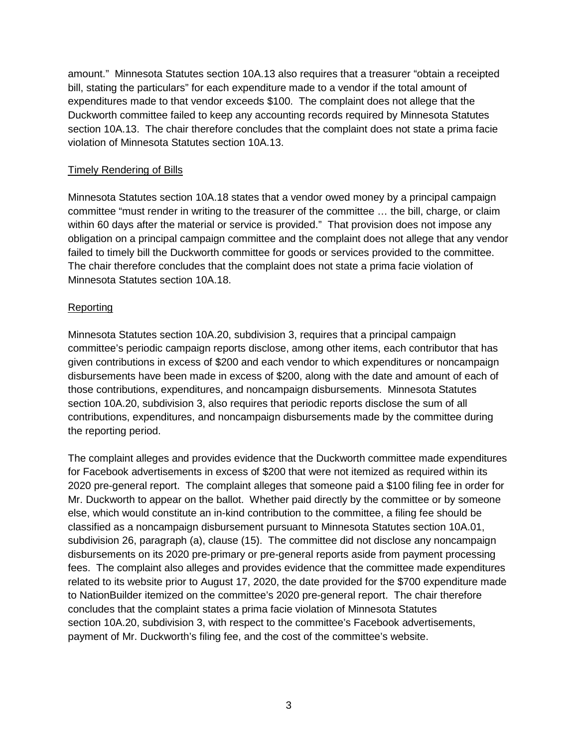amount." Minnesota Statutes section 10A.13 also requires that a treasurer "obtain a receipted bill, stating the particulars" for each expenditure made to a vendor if the total amount of expenditures made to that vendor exceeds \$100. The complaint does not allege that the Duckworth committee failed to keep any accounting records required by Minnesota Statutes section 10A.13. The chair therefore concludes that the complaint does not state a prima facie violation of Minnesota Statutes section 10A.13.

# Timely Rendering of Bills

Minnesota Statutes section 10A.18 states that a vendor owed money by a principal campaign committee "must render in writing to the treasurer of the committee … the bill, charge, or claim within 60 days after the material or service is provided." That provision does not impose any obligation on a principal campaign committee and the complaint does not allege that any vendor failed to timely bill the Duckworth committee for goods or services provided to the committee. The chair therefore concludes that the complaint does not state a prima facie violation of Minnesota Statutes section 10A.18.

# Reporting

Minnesota Statutes section 10A.20, subdivision 3, requires that a principal campaign committee's periodic campaign reports disclose, among other items, each contributor that has given contributions in excess of \$200 and each vendor to which expenditures or noncampaign disbursements have been made in excess of \$200, along with the date and amount of each of those contributions, expenditures, and noncampaign disbursements. Minnesota Statutes section 10A.20, subdivision 3, also requires that periodic reports disclose the sum of all contributions, expenditures, and noncampaign disbursements made by the committee during the reporting period.

The complaint alleges and provides evidence that the Duckworth committee made expenditures for Facebook advertisements in excess of \$200 that were not itemized as required within its 2020 pre-general report. The complaint alleges that someone paid a \$100 filing fee in order for Mr. Duckworth to appear on the ballot. Whether paid directly by the committee or by someone else, which would constitute an in-kind contribution to the committee, a filing fee should be classified as a noncampaign disbursement pursuant to Minnesota Statutes section 10A.01, subdivision 26, paragraph (a), clause (15). The committee did not disclose any noncampaign disbursements on its 2020 pre-primary or pre-general reports aside from payment processing fees. The complaint also alleges and provides evidence that the committee made expenditures related to its website prior to August 17, 2020, the date provided for the \$700 expenditure made to NationBuilder itemized on the committee's 2020 pre-general report. The chair therefore concludes that the complaint states a prima facie violation of Minnesota Statutes section 10A.20, subdivision 3, with respect to the committee's Facebook advertisements, payment of Mr. Duckworth's filing fee, and the cost of the committee's website.